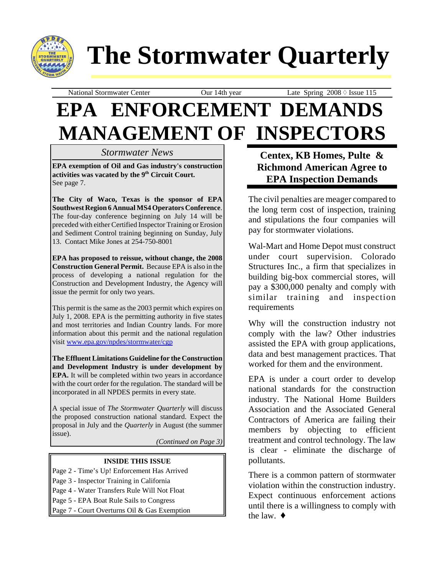

# **The Stormwater Quarterly**

National Stormwater Center **Our 14th year** Late Spring 2008  $\Diamond$  Issue 115

## **EPA ENFORCEMENT DEMANDS MANAGEMENT OF INSPECTORS**

#### *Stormwater News*

**EPA exemption of Oil and Gas industry's construction activities was vacated by the 9th Circuit Court.** See page 7.

**The City of Waco, Texas is the sponsor of EPA Southwest Region 6 Annual MS4 Operators Conference**. The four-day conference beginning on July 14 will be preceded with either Certified Inspector Training or Erosion and Sediment Control training beginning on Sunday, July 13. Contact Mike Jones at 254-750-8001

**EPA has proposed to reissue, without change, the 2008 Construction General Permit.** Because EPA is also in the process of developing a national regulation for the Construction and Development Industry, the Agency will issue the permit for only two years.

This permit is the same as the 2003 permit which expires on July 1, 2008. EPA is the permitting authority in five states and most territories and Indian Country lands. For more information about this permit and the national regulation visit www.epa.gov/npdes/stormwater/cgp

**The Effluent Limitations Guideline for the Construction and Development Industry is under development by EPA.** It will be completed within two years in accordance with the court order for the regulation. The standard will be incorporated in all NPDES permits in every state.

A special issue of *The Stormwater Quarterly* will discuss the proposed construction national standard. Expect the proposal in July and the *Quarterly* in August (the summer issue).

*(Continued on Page 3)*

#### **INSIDE THIS ISSUE**

Page 2 - Time's Up! Enforcement Has Arrived

- Page 3 Inspector Training in California
- Page 4 Water Transfers Rule Will Not Float
- Page 5 EPA Boat Rule Sails to Congress

Page 7 - Court Overturns Oil & Gas Exemption

**Centex, KB Homes, Pulte & Richmond American Agree to EPA Inspection Demands**

The civil penalties are meager compared to the long term cost of inspection, training and stipulations the four companies will pay for stormwater violations.

Wal-Mart and Home Depot must construct under court supervision. Colorado Structures Inc., a firm that specializes in building big-box commercial stores, will pay a \$300,000 penalty and comply with similar training and inspection requirements

Why will the construction industry not comply with the law? Other industries assisted the EPA with group applications, data and best management practices. That worked for them and the environment.

EPA is under a court order to develop national standards for the construction industry. The National Home Builders Association and the Associated General Contractors of America are failing their members by objecting to efficient treatment and control technology. The law is clear - eliminate the discharge of pollutants.

There is a common pattern of stormwater violation within the construction industry. Expect continuous enforcement actions until there is a willingness to comply with the law.  $\triangleleft$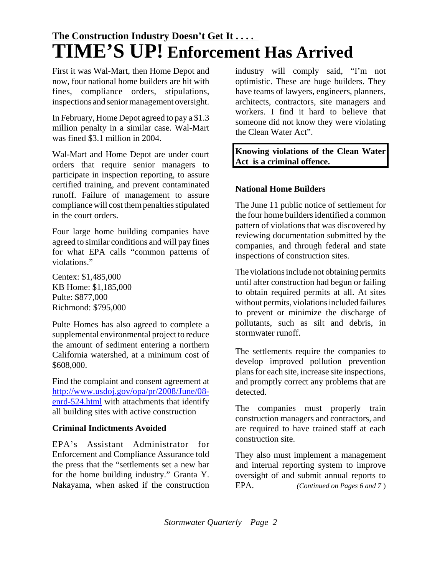## **The Construction Industry Doesn't Get It . . . . TIME'S UP! Enforcement Has Arrived**

First it was Wal-Mart, then Home Depot and now, four national home builders are hit with fines, compliance orders, stipulations, inspections and senior management oversight.

In February, Home Depot agreed to pay a \$1.3 million penalty in a similar case. Wal-Mart was fined \$3.1 million in 2004.

Wal-Mart and Home Depot are under court orders that require senior managers to participate in inspection reporting, to assure certified training, and prevent contaminated runoff. Failure of management to assure compliance will cost them penalties stipulated in the court orders.

Four large home building companies have agreed to similar conditions and will pay fines for what EPA calls "common patterns of violations."

Centex: \$1,485,000 KB Home: \$1,185,000 Pulte: \$877,000 Richmond: \$795,000

Pulte Homes has also agreed to complete a supplemental environmental project to reduce the amount of sediment entering a northern California watershed, at a minimum cost of \$608,000.

Find the complaint and consent agreement at http://www.usdoj.gov/opa/pr/2008/June/08 enrd-524.html with attachments that identify all building sites with active construction

#### **Criminal Indictments Avoided**

EPA's Assistant Administrator for Enforcement and Compliance Assurance told the press that the "settlements set a new bar for the home building industry." Granta Y. Nakayama, when asked if the construction industry will comply said, "I'm not optimistic. These are huge builders. They have teams of lawyers, engineers, planners, architects, contractors, site managers and workers. I find it hard to believe that someone did not know they were violating the Clean Water Act".

#### **Knowing violations of the Clean Water Act is a criminal offence.**

#### **National Home Builders**

The June 11 public notice of settlement for the four home builders identified a common pattern of violations that was discovered by reviewing documentation submitted by the companies, and through federal and state inspections of construction sites.

The violations include not obtaining permits until after construction had begun or failing to obtain required permits at all. At sites without permits, violations included failures to prevent or minimize the discharge of pollutants, such as silt and debris, in stormwater runoff.

The settlements require the companies to develop improved pollution prevention plans for each site, increase site inspections, and promptly correct any problems that are detected.

The companies must properly train construction managers and contractors, and are required to have trained staff at each construction site.

They also must implement a management and internal reporting system to improve oversight of and submit annual reports to EPA. *(Continued on Pages 6 and 7* )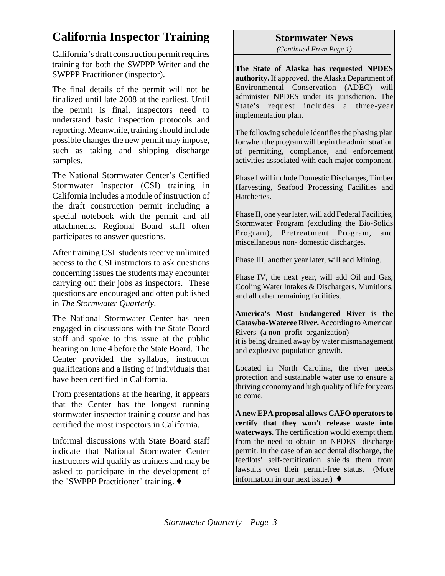## **California Inspector Training**

California's draft construction permit requires training for both the SWPPP Writer and the SWPPP Practitioner (inspector).

The final details of the permit will not be finalized until late 2008 at the earliest. Until the permit is final, inspectors need to understand basic inspection protocols and reporting. Meanwhile, training should include possible changes the new permit may impose, such as taking and shipping discharge samples.

The National Stormwater Center's Certified Stormwater Inspector (CSI) training in California includes a module of instruction of the draft construction permit including a special notebook with the permit and all attachments. Regional Board staff often participates to answer questions.

After training CSI students receive unlimited access to the CSI instructors to ask questions concerning issues the students may encounter carrying out their jobs as inspectors. These questions are encouraged and often published in *The Stormwater Quarterly*.

The National Stormwater Center has been engaged in discussions with the State Board staff and spoke to this issue at the public hearing on June 4 before the State Board. The Center provided the syllabus, instructor qualifications and a listing of individuals that have been certified in California.

From presentations at the hearing, it appears that the Center has the longest running stormwater inspector training course and has certified the most inspectors in California.

Informal discussions with State Board staff indicate that National Stormwater Center instructors will qualify as trainers and may be asked to participate in the development of the "SWPPP Practitioner" training.  $\blacklozenge$ 

#### **Stormwater News**

*(Continued From Page 1)*

**The State of Alaska has requested NPDES authority.** If approved, the Alaska Department of Environmental Conservation (ADEC) will administer NPDES under its jurisdiction. The State's request includes a three-year implementation plan.

The following schedule identifies the phasing plan for when the program will begin the administration of permitting, compliance, and enforcement activities associated with each major component.

Phase I will include Domestic Discharges, Timber Harvesting, Seafood Processing Facilities and **Hatcheries** 

Phase II, one year later, will add Federal Facilities, Stormwater Program (excluding the Bio-Solids Program), Pretreatment Program, and miscellaneous non- domestic discharges.

Phase III, another year later, will add Mining.

Phase IV, the next year, will add Oil and Gas, Cooling Water Intakes & Dischargers, Munitions, and all other remaining facilities.

**America's Most Endangered River is the Catawba-Wateree River.** According to American Rivers (a non profit organization) it is being drained away by water mismanagement and explosive population growth.

Located in North Carolina, the river needs protection and sustainable water use to ensure a thriving economy and high quality of life for years to come.

**A new EPA proposal allows CAFO operators to certify that they won't release waste into waterways.** The certification would exempt them from the need to obtain an NPDES discharge permit. In the case of an accidental discharge, the feedlots' self-certification shields them from lawsuits over their permit-free status. (More information in our next issue.)  $\blacklozenge$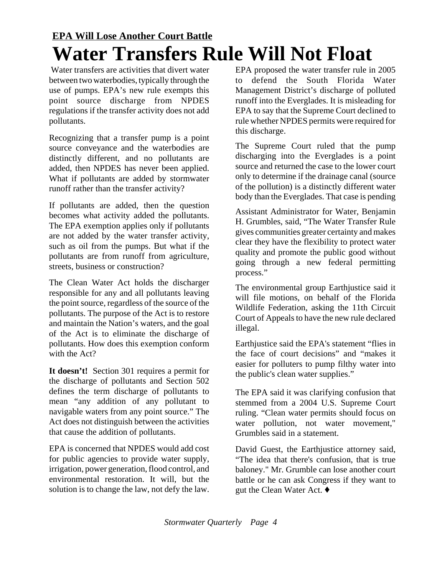## **EPA Will Lose Another Court Battle Water Transfers Rule Will Not Float**

 Water transfers are activities that divert water between two waterbodies, typically through the use of pumps. EPA's new rule exempts this point source discharge from NPDES regulations if the transfer activity does not add pollutants.

Recognizing that a transfer pump is a point source conveyance and the waterbodies are distinctly different, and no pollutants are added, then NPDES has never been applied. What if pollutants are added by stormwater runoff rather than the transfer activity?

If pollutants are added, then the question becomes what activity added the pollutants. The EPA exemption applies only if pollutants are not added by the water transfer activity, such as oil from the pumps. But what if the pollutants are from runoff from agriculture, streets, business or construction?

The Clean Water Act holds the discharger responsible for any and all pollutants leaving the point source, regardless of the source of the pollutants. The purpose of the Act is to restore and maintain the Nation's waters, and the goal of the Act is to eliminate the discharge of pollutants. How does this exemption conform with the Act?

**It doesn't!** Section 301 requires a permit for the discharge of pollutants and Section 502 defines the term discharge of pollutants to mean "any addition of any pollutant to navigable waters from any point source." The Act does not distinguish between the activities that cause the addition of pollutants.

EPA is concerned that NPDES would add cost for public agencies to provide water supply, irrigation, power generation, flood control, and environmental restoration. It will, but the solution is to change the law, not defy the law.

EPA proposed the water transfer rule in 2005 to defend the South Florida Water Management District's discharge of polluted runoff into the Everglades. It is misleading for EPA to say that the Supreme Court declined to rule whether NPDES permits were required for this discharge.

The Supreme Court ruled that the pump discharging into the Everglades is a point source and returned the case to the lower court only to determine if the drainage canal (source of the pollution) is a distinctly different water body than the Everglades. That case is pending

Assistant Administrator for Water, Benjamin H. Grumbles, said, "The Water Transfer Rule gives communities greater certainty and makes clear they have the flexibility to protect water quality and promote the public good without going through a new federal permitting process."

The environmental group Earthjustice said it will file motions, on behalf of the Florida Wildlife Federation, asking the 11th Circuit Court of Appeals to have the new rule declared illegal.

Earthjustice said the EPA's statement "flies in the face of court decisions" and "makes it easier for polluters to pump filthy water into the public's clean water supplies."

The EPA said it was clarifying confusion that stemmed from a 2004 U.S. Supreme Court ruling. "Clean water permits should focus on water pollution, not water movement," Grumbles said in a statement.

David Guest, the Earthjustice attorney said, "The idea that there's confusion, that is true baloney." Mr. Grumble can lose another court battle or he can ask Congress if they want to gut the Clean Water Act.  $\blacklozenge$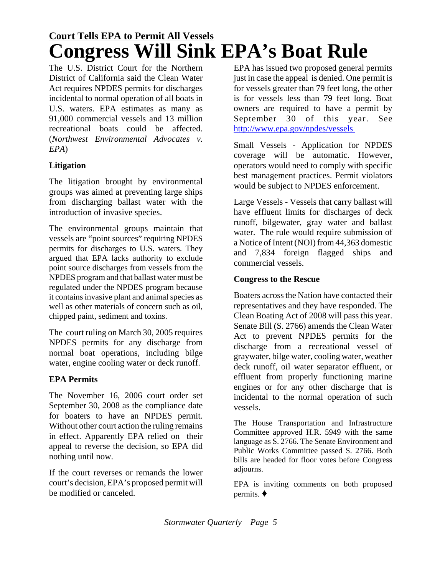## **Court Tells EPA to Permit All Vessels Congress Will Sink EPA's Boat Rule**

The U.S. District Court for the Northern District of California said the Clean Water Act requires NPDES permits for discharges incidental to normal operation of all boats in U.S. waters. EPA estimates as many as 91,000 commercial vessels and 13 million recreational boats could be affected. (*Northwest Environmental Advocates v. EPA*)

#### **Litigation**

The litigation brought by environmental groups was aimed at preventing large ships from discharging ballast water with the introduction of invasive species.

The environmental groups maintain that vessels are "point sources" requiring NPDES permits for discharges to U.S. waters. They argued that EPA lacks authority to exclude point source discharges from vessels from the NPDES program and that ballast water must be regulated under the NPDES program because it contains invasive plant and animal species as well as other materials of concern such as oil, chipped paint, sediment and toxins.

The court ruling on March 30, 2005 requires NPDES permits for any discharge from normal boat operations, including bilge water, engine cooling water or deck runoff.

#### **EPA Permits**

The November 16, 2006 court order set September 30, 2008 as the compliance date for boaters to have an NPDES permit. Without other court action the ruling remains in effect. Apparently EPA relied on their appeal to reverse the decision, so EPA did nothing until now.

If the court reverses or remands the lower court's decision, EPA's proposed permit will be modified or canceled.

EPA has issued two proposed general permits just in case the appeal is denied. One permit is for vessels greater than 79 feet long, the other is for vessels less than 79 feet long. Boat owners are required to have a permit by September 30 of this year. See http://www.epa.gov/npdes/vessels

Small Vessels - Application for NPDES coverage will be automatic. However, operators would need to comply with specific best management practices. Permit violators would be subject to NPDES enforcement.

Large Vessels - Vessels that carry ballast will have effluent limits for discharges of deck runoff, bilgewater, gray water and ballast water. The rule would require submission of a Notice of Intent (NOI) from 44,363 domestic and 7,834 foreign flagged ships and commercial vessels.

#### **Congress to the Rescue**

Boaters across the Nation have contacted their representatives and they have responded. The Clean Boating Act of 2008 will pass this year. Senate Bill (S. 2766) amends the Clean Water Act to prevent NPDES permits for the discharge from a recreational vessel of graywater, bilge water, cooling water, weather deck runoff, oil water separator effluent, or effluent from properly functioning marine engines or for any other discharge that is incidental to the normal operation of such vessels.

The House Transportation and Infrastructure Committee approved H.R. 5949 with the same language as S. 2766. The Senate Environment and Public Works Committee passed S. 2766. Both bills are headed for floor votes before Congress adiourns.

EPA is inviting comments on both proposed permits.  $\blacklozenge$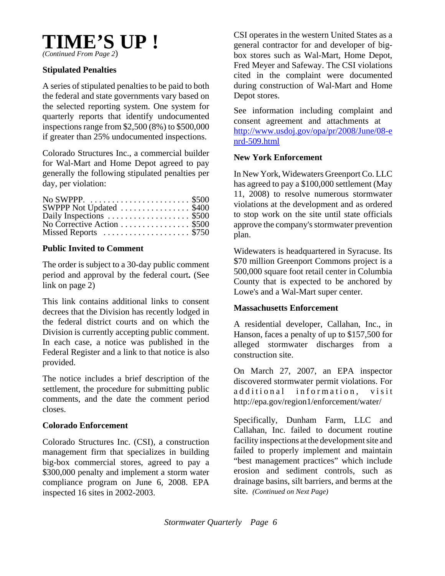

#### **Stipulated Penalties**

A series of stipulated penalties to be paid to both the federal and state governments vary based on the selected reporting system. One system for quarterly reports that identify undocumented inspections range from \$2,500 (8%) to \$500,000 if greater than 25% undocumented inspections.

Colorado Structures Inc., a commercial builder for Wal-Mart and Home Depot agreed to pay generally the following stipulated penalties per day, per violation:

| SWPPP Not Updated \$400                                 |  |
|---------------------------------------------------------|--|
| Daily Inspections  \$500<br>No Corrective Action  \$500 |  |
|                                                         |  |
| Missed Reports  \$750                                   |  |

#### **Public Invited to Comment**

The order is subject to a 30-day public comment period and approval by the federal court**.** (See link on page 2)

This link contains additional links to consent decrees that the Division has recently lodged in the federal district courts and on which the Division is currently accepting public comment. In each case, a notice was published in the Federal Register and a link to that notice is also provided.

The notice includes a brief description of the settlement, the procedure for submitting public comments, and the date the comment period closes.

#### **Colorado Enforcement**

Colorado Structures Inc. (CSI), a construction management firm that specializes in building big-box commercial stores, agreed to pay a \$300,000 penalty and implement a storm water compliance program on June 6, 2008. EPA inspected 16 sites in 2002-2003.

CSI operates in the western United States as a general contractor for and developer of bigbox stores such as Wal-Mart, Home Depot, Fred Meyer and Safeway. The CSI violations cited in the complaint were documented during construction of Wal-Mart and Home Depot stores.

See information including complaint and consent agreement and attachments at http://www.usdoj.gov/opa/pr/2008/June/08-e nrd-509.html

#### **New York Enforcement**

In New York, Widewaters Greenport Co. LLC has agreed to pay a \$100,000 settlement (May 11, 2008) to resolve numerous stormwater violations at the development and as ordered to stop work on the site until state officials approve the company's stormwater prevention plan.

Widewaters is headquartered in Syracuse. Its \$70 million Greenport Commons project is a 500,000 square foot retail center in Columbia County that is expected to be anchored by Lowe's and a Wal-Mart super center.

#### **Massachusetts Enforcement**

A residential developer, Callahan, Inc., in Hanson, faces a penalty of up to \$157,500 for alleged stormwater discharges from a construction site.

On March 27, 2007, an EPA inspector discovered stormwater permit violations. For additional information, visit http://epa.gov/region1/enforcement/water/

Specifically, Dunham Farm, LLC and Callahan, Inc. failed to document routine facility inspections at the development site and failed to properly implement and maintain "best management practices" which include erosion and sediment controls, such as drainage basins, silt barriers, and berms at the site. *(Continued on Next Page)*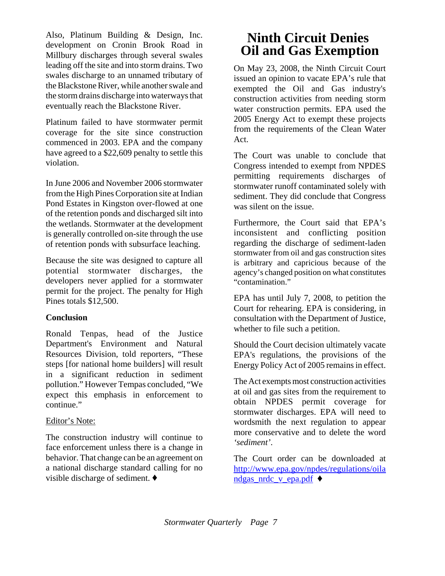Also, Platinum Building & Design, Inc. development on Cronin Brook Road in Millbury discharges through several swales leading off the site and into storm drains. Two swales discharge to an unnamed tributary of the Blackstone River, while another swale and the storm drains discharge into waterways that eventually reach the Blackstone River.

Platinum failed to have stormwater permit coverage for the site since construction commenced in 2003. EPA and the company have agreed to a \$22,609 penalty to settle this violation.

In June 2006 and November 2006 stormwater from the High Pines Corporation site at Indian Pond Estates in Kingston over-flowed at one of the retention ponds and discharged silt into the wetlands. Stormwater at the development is generally controlled on-site through the use of retention ponds with subsurface leaching.

Because the site was designed to capture all potential stormwater discharges, the developers never applied for a stormwater permit for the project. The penalty for High Pines totals \$12,500.

#### **Conclusion**

Ronald Tenpas, head of the Justice Department's Environment and Natural Resources Division, told reporters, "These steps [for national home builders] will result in a significant reduction in sediment pollution." However Tempas concluded, "We expect this emphasis in enforcement to continue."

#### Editor's Note:

The construction industry will continue to face enforcement unless there is a change in behavior. That change can be an agreement on a national discharge standard calling for no visible discharge of sediment.  $\blacklozenge$ 

### **Ninth Circuit Denies Oil and Gas Exemption**

On May 23, 2008, the Ninth Circuit Court issued an opinion to vacate EPA's rule that exempted the Oil and Gas industry's construction activities from needing storm water construction permits. EPA used the 2005 Energy Act to exempt these projects from the requirements of the Clean Water Act.

The Court was unable to conclude that Congress intended to exempt from NPDES permitting requirements discharges of stormwater runoff contaminated solely with sediment. They did conclude that Congress was silent on the issue.

Furthermore, the Court said that EPA's inconsistent and conflicting position regarding the discharge of sediment-laden stormwater from oil and gas construction sites is arbitrary and capricious because of the agency's changed position on what constitutes "contamination."

EPA has until July 7, 2008, to petition the Court for rehearing. EPA is considering, in consultation with the Department of Justice, whether to file such a petition.

Should the Court decision ultimately vacate EPA's regulations, the provisions of the Energy Policy Act of 2005 remains in effect.

The Act exempts most construction activities at oil and gas sites from the requirement to obtain NPDES permit coverage for stormwater discharges. EPA will need to wordsmith the next regulation to appear more conservative and to delete the word *'sediment'*.

The Court order can be downloaded at http://www.epa.gov/npdes/regulations/oila ndgas\_nrdc\_v\_epa.pdf  $\blacklozenge$